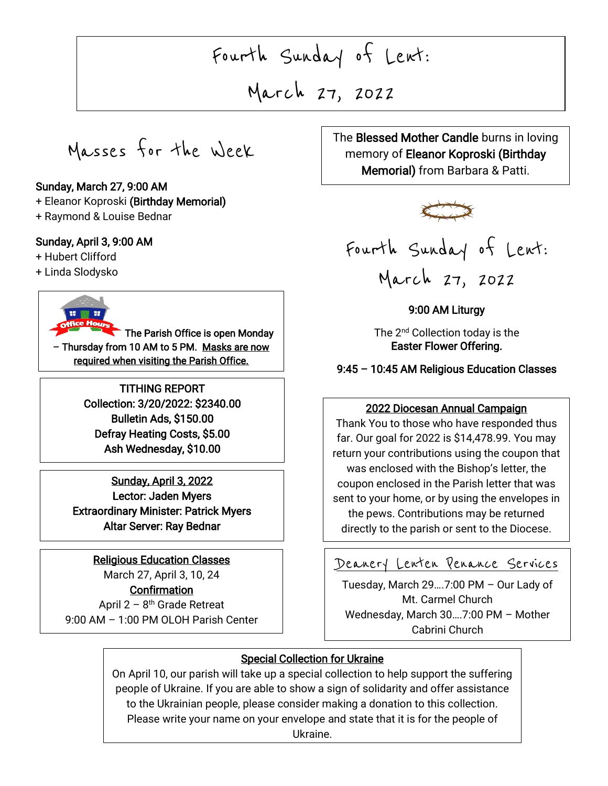# Fourth Sunday of Lent:

March 27, 2022

Masses for the Week

#### Sunday, March 27, 9:00 AM

- + Eleanor Koproski (Birthday Memorial)
- + Raymond & Louise Bednar

#### Sunday, April 3, 9:00 AM

- + Hubert Clifford
- + Linda Slodysko



The Parish Office is open Monday – Thursday from 10 AM to 5 PM. Masks are now required when visiting the Parish Office.

> TITHING REPORT Collection: 3/20/2022: \$2340.00 Bulletin Ads, \$150.00 Defray Heating Costs, \$5.00 Ash Wednesday, \$10.00

Sunday, April 3, 2022 Lector: Jaden Myers Extraordinary Minister: Patrick Myers Altar Server: Ray Bednar

#### Religious Education Classes

March 27, April 3, 10, 24 **Confirmation** April 2 – 8<sup>th</sup> Grade Retreat 9:00 AM – 1:00 PM OLOH Parish Center

 The Blessed Mother Candle burns in loving memory of Eleanor Koproski (Birthday Memorial) from Barbara & Patti.





9:00 AM Liturgy

The 2<sup>nd</sup> Collection today is the Easter Flower Offering.

9:45 – 10:45 AM Religious Education Classes

#### $\overline{\phantom{a}}$ j 2022 Diocesan Annual Campaign

 far. Our goal for 2022 is \$14,478.99. You may an your commodities doing the coupon the was enclosed with the Bishop's letter, the coupon enclosed in the Parish letter that was  $\overline{\phantom{a}}$ Thank You to those who have responded thus return your contributions using the coupon that sent to your home, or by using the envelopes in the pews. Contributions may be returned directly to the parish or sent to the Diocese.

## Deanery Lenten Penance Services

 Cabrini Church Tuesday, March 29….7:00 PM – Our Lady of Mt. Carmel Church Wednesday, March 30….7:00 PM – Mother

#### Special Collection for Ukraine

Ì

On April 10, our parish will take up a special collection to help support the suffering people of Ukraine. If you are able to show a sign of solidarity and offer assistance to the Ukrainian people, please consider making a donation to this collection. Please write your name on your envelope and state that it is for the people of Ukraine.